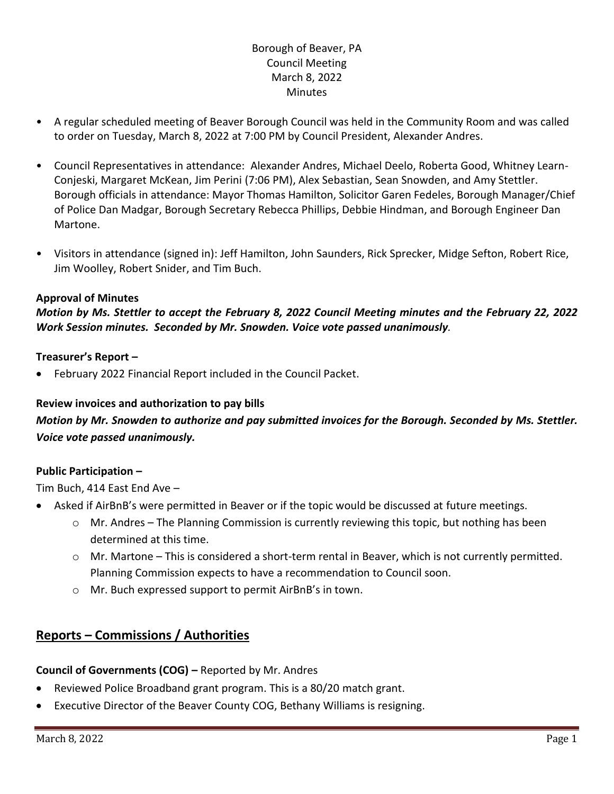# Borough of Beaver, PA Council Meeting March 8, 2022 **Minutes**

- A regular scheduled meeting of Beaver Borough Council was held in the Community Room and was called to order on Tuesday, March 8, 2022 at 7:00 PM by Council President, Alexander Andres.
- Council Representatives in attendance: Alexander Andres, Michael Deelo, Roberta Good, Whitney Learn-Conjeski, Margaret McKean, Jim Perini (7:06 PM), Alex Sebastian, Sean Snowden, and Amy Stettler. Borough officials in attendance: Mayor Thomas Hamilton, Solicitor Garen Fedeles, Borough Manager/Chief of Police Dan Madgar, Borough Secretary Rebecca Phillips, Debbie Hindman, and Borough Engineer Dan Martone.
- Visitors in attendance (signed in): Jeff Hamilton, John Saunders, Rick Sprecker, Midge Sefton, Robert Rice, Jim Woolley, Robert Snider, and Tim Buch.

## **Approval of Minutes**

*Motion by Ms. Stettler to accept the February 8, 2022 Council Meeting minutes and the February 22, 2022 Work Session minutes. Seconded by Mr. Snowden. Voice vote passed unanimously.*

## **Treasurer's Report –**

• February 2022 Financial Report included in the Council Packet.

# **Review invoices and authorization to pay bills**

# *Motion by Mr. Snowden to authorize and pay submitted invoices for the Borough. Seconded by Ms. Stettler. Voice vote passed unanimously.*

# **Public Participation –**

Tim Buch, 414 East End Ave –

- Asked if AirBnB's were permitted in Beaver or if the topic would be discussed at future meetings.
	- o Mr. Andres The Planning Commission is currently reviewing this topic, but nothing has been determined at this time.
	- o Mr. Martone This is considered a short-term rental in Beaver, which is not currently permitted. Planning Commission expects to have a recommendation to Council soon.
	- o Mr. Buch expressed support to permit AirBnB's in town.

# **Reports – Commissions / Authorities**

#### **Council of Governments (COG) –** Reported by Mr. Andres

- Reviewed Police Broadband grant program. This is a 80/20 match grant.
- Executive Director of the Beaver County COG, Bethany Williams is resigning.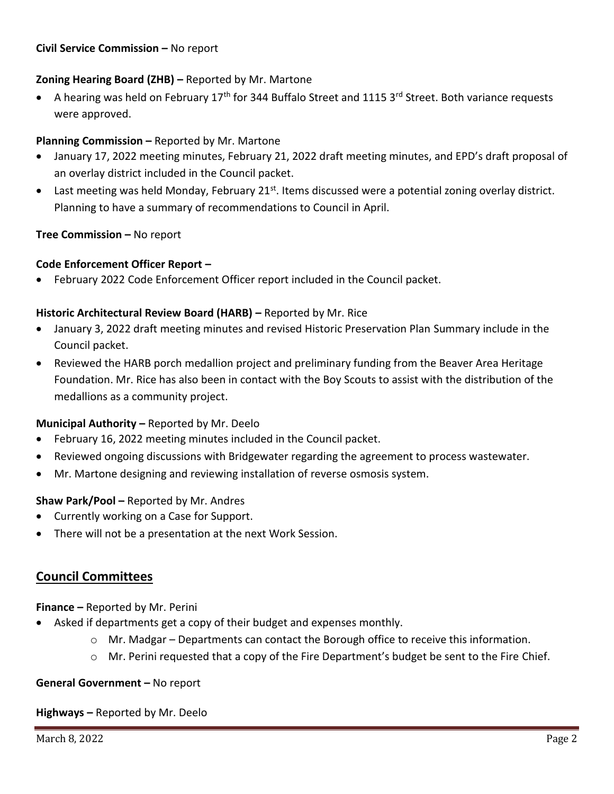#### **Civil Service Commission –** No report

# **Zoning Hearing Board (ZHB) –** Reported by Mr. Martone

• A hearing was held on February 17<sup>th</sup> for 344 Buffalo Street and 1115 3<sup>rd</sup> Street. Both variance requests were approved.

## **Planning Commission –** Reported by Mr. Martone

- January 17, 2022 meeting minutes, February 21, 2022 draft meeting minutes, and EPD's draft proposal of an overlay district included in the Council packet.
- Last meeting was held Monday, February 21 $st$ . Items discussed were a potential zoning overlay district. Planning to have a summary of recommendations to Council in April.

## **Tree Commission –** No report

#### **Code Enforcement Officer Report –**

• February 2022 Code Enforcement Officer report included in the Council packet.

#### **Historic Architectural Review Board (HARB) – Reported by Mr. Rice**

- January 3, 2022 draft meeting minutes and revised Historic Preservation Plan Summary include in the Council packet.
- Reviewed the HARB porch medallion project and preliminary funding from the Beaver Area Heritage Foundation. Mr. Rice has also been in contact with the Boy Scouts to assist with the distribution of the medallions as a community project.

#### **Municipal Authority –** Reported by Mr. Deelo

- February 16, 2022 meeting minutes included in the Council packet.
- Reviewed ongoing discussions with Bridgewater regarding the agreement to process wastewater.
- Mr. Martone designing and reviewing installation of reverse osmosis system.

#### **Shaw Park/Pool –** Reported by Mr. Andres

- Currently working on a Case for Support.
- There will not be a presentation at the next Work Session.

# **Council Committees**

#### **Finance –** Reported by Mr. Perini

- Asked if departments get a copy of their budget and expenses monthly.
	- o Mr. Madgar Departments can contact the Borough office to receive this information.
	- $\circ$  Mr. Perini requested that a copy of the Fire Department's budget be sent to the Fire Chief.

#### **General Government –** No report

**Highways –** Reported by Mr. Deelo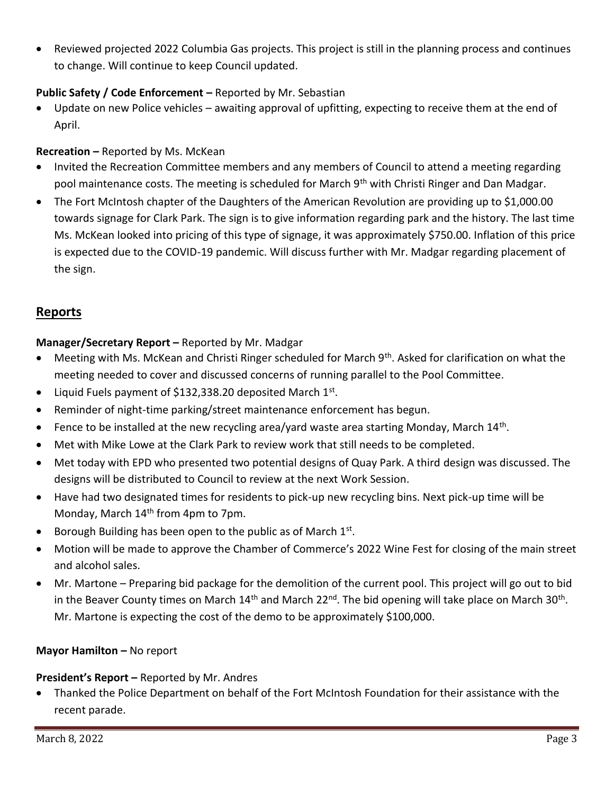• Reviewed projected 2022 Columbia Gas projects. This project is still in the planning process and continues to change. Will continue to keep Council updated.

# **Public Safety / Code Enforcement –** Reported by Mr. Sebastian

Update on new Police vehicles – awaiting approval of upfitting, expecting to receive them at the end of April.

# **Recreation –** Reported by Ms. McKean

- Invited the Recreation Committee members and any members of Council to attend a meeting regarding pool maintenance costs. The meeting is scheduled for March 9<sup>th</sup> with Christi Ringer and Dan Madgar.
- The Fort McIntosh chapter of the Daughters of the American Revolution are providing up to \$1,000.00 towards signage for Clark Park. The sign is to give information regarding park and the history. The last time Ms. McKean looked into pricing of this type of signage, it was approximately \$750.00. Inflation of this price is expected due to the COVID-19 pandemic. Will discuss further with Mr. Madgar regarding placement of the sign.

# **Reports**

# **Manager/Secretary Report –** Reported by Mr. Madgar

- Meeting with Ms. McKean and Christi Ringer scheduled for March 9<sup>th</sup>. Asked for clarification on what the meeting needed to cover and discussed concerns of running parallel to the Pool Committee.
- Liquid Fuels payment of \$132,338.20 deposited March  $1^{st}$ .
- Reminder of night-time parking/street maintenance enforcement has begun.
- Fence to be installed at the new recycling area/yard waste area starting Monday, March 14<sup>th</sup>.
- Met with Mike Lowe at the Clark Park to review work that still needs to be completed.
- Met today with EPD who presented two potential designs of Quay Park. A third design was discussed. The designs will be distributed to Council to review at the next Work Session.
- Have had two designated times for residents to pick-up new recycling bins. Next pick-up time will be Monday, March 14<sup>th</sup> from 4pm to 7pm.
- Borough Building has been open to the public as of March  $1<sup>st</sup>$ .
- Motion will be made to approve the Chamber of Commerce's 2022 Wine Fest for closing of the main street and alcohol sales.
- Mr. Martone Preparing bid package for the demolition of the current pool. This project will go out to bid in the Beaver County times on March 14<sup>th</sup> and March 22<sup>nd</sup>. The bid opening will take place on March 30<sup>th</sup>. Mr. Martone is expecting the cost of the demo to be approximately \$100,000.

# **Mayor Hamilton –** No report

# **President's Report –** Reported by Mr. Andres

• Thanked the Police Department on behalf of the Fort McIntosh Foundation for their assistance with the recent parade.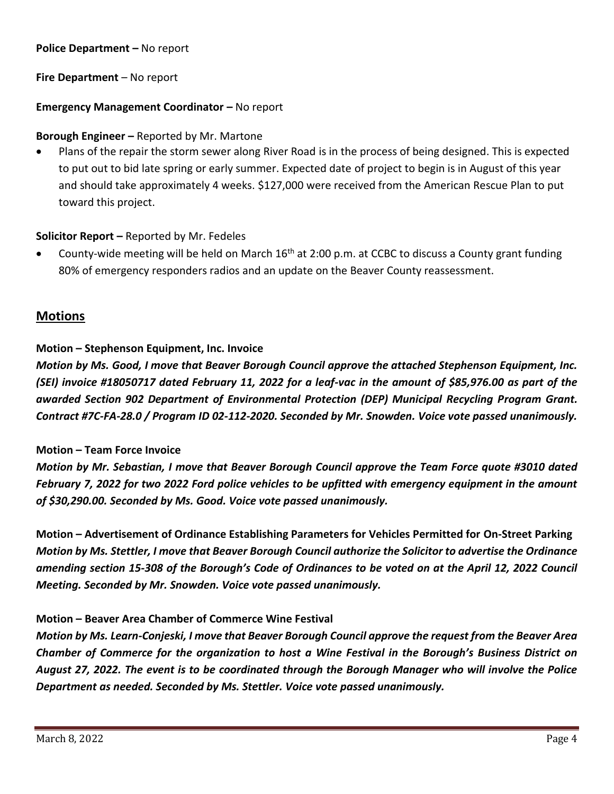#### **Police Department – No report**

## **Fire Department** – No report

## **Emergency Management Coordinator – No report**

#### **Borough Engineer –** Reported by Mr. Martone

• Plans of the repair the storm sewer along River Road is in the process of being designed. This is expected to put out to bid late spring or early summer. Expected date of project to begin is in August of this year and should take approximately 4 weeks. \$127,000 were received from the American Rescue Plan to put toward this project.

## **Solicitor Report –** Reported by Mr. Fedeles

County-wide meeting will be held on March  $16<sup>th</sup>$  at 2:00 p.m. at CCBC to discuss a County grant funding 80% of emergency responders radios and an update on the Beaver County reassessment.

# **Motions**

## **Motion – Stephenson Equipment, Inc. Invoice**

*Motion by Ms. Good, I move that Beaver Borough Council approve the attached Stephenson Equipment, Inc. (SEI) invoice #18050717 dated February 11, 2022 for a leaf-vac in the amount of \$85,976.00 as part of the awarded Section 902 Department of Environmental Protection (DEP) Municipal Recycling Program Grant. Contract #7C-FA-28.0 / Program ID 02-112-2020. Seconded by Mr. Snowden. Voice vote passed unanimously.*

#### **Motion – Team Force Invoice**

*Motion by Mr. Sebastian, I move that Beaver Borough Council approve the Team Force quote #3010 dated February 7, 2022 for two 2022 Ford police vehicles to be upfitted with emergency equipment in the amount of \$30,290.00. Seconded by Ms. Good. Voice vote passed unanimously.*

**Motion – Advertisement of Ordinance Establishing Parameters for Vehicles Permitted for On-Street Parking** *Motion by Ms. Stettler, I move that Beaver Borough Council authorize the Solicitor to advertise the Ordinance amending section 15-308 of the Borough's Code of Ordinances to be voted on at the April 12, 2022 Council Meeting. Seconded by Mr. Snowden. Voice vote passed unanimously.*

# **Motion – Beaver Area Chamber of Commerce Wine Festival**

*Motion by Ms. Learn-Conjeski, I move that Beaver Borough Council approve the request from the Beaver Area Chamber of Commerce for the organization to host a Wine Festival in the Borough's Business District on August 27, 2022. The event is to be coordinated through the Borough Manager who will involve the Police Department as needed. Seconded by Ms. Stettler. Voice vote passed unanimously.*